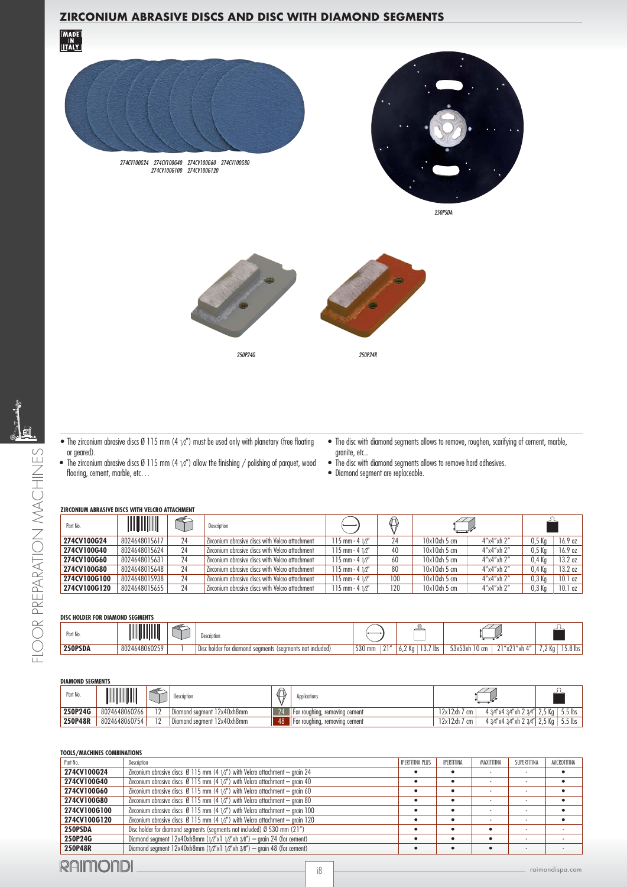# **ZIRCONIUM ABRASIVE DISCS AND DISC WITH DIAMOND SEGMENTS**





250PSDA







- The disc with diamond segments allows to remove, roughen, scarifying of cement, marble, granite, etc..
- The zirconium abrasive discs Ø 115 mm (4  $1/2"$ ) allow the finishing / polishing of parquet, wood flooring, cement, marble, etc...
- The disc with diamond segments allows to remove hard adhesives.
	- Diamond seament are replaceable.

#### **ZIRCONIUM ABRASIVE DISCS WITH VELCRO ATTACHMENT**

| Part No.     | <b>AND AND AND A</b> | ↞  | Description                                     |                         | $\bigcirc$ |            |                        |                   |         |
|--------------|----------------------|----|-------------------------------------------------|-------------------------|------------|------------|------------------------|-------------------|---------|
| 274CV100G24  | 8024648015617        | 24 | Zirconium abrasive discs with Velcro attachment | $115$ mm - 4 $1/2$ "    | 24         | 10x10xh5cm | 4''x4''xh2''           | 0.5 <sub>Kq</sub> | 16.9 oz |
| 274CV100G40  | 8024648015624        | 24 | Zirconium abrasive discs with Velcro attachment | 115 mm $-$ 4 $1/2$ "    | 40         | 10x10xh5cm | 4''x4''xh 2''          | 0.5 <sub>Kq</sub> | 16.9 oz |
| 274CV100G60  | 8024648015631        | 24 | Zirconium abrasive discs with Velcro attachment | $115$ mm - 4 $1/\ell''$ | 60         | 10x10xh5cm | 4"x4"xh 2"             | 0,4 Kg            | 13.2 oz |
| 274CV100G80  | 8024648015648        | 24 | Zirconium abrasive discs with Velcro attachment | $115$ mm - 4 $1/\ell''$ | 80         | 10x10xh5cm | $4''$ x $4''$ xh $2''$ | $0.4$ Kg          | 13.2 oz |
| 274CV100G100 | 8024648015938        | 24 | Zirconium abrasive discs with Velcro attachment | $115$ mm - 4 $1/\ell''$ | 100        | 10x10xh5cm | $4''$ x $4''$ xh $2''$ | 0,3 Kg            | 10.1 oz |
| 274CV100G120 | 8024648015655        | 24 | Zirconium abrasive discs with Velcro attachment | 115 mm $-$ 4 $1/2$ "    | 120        | 10x10xh5cm | $4''$ x $4''$ xh $2''$ | 0,3 Kg            | 10.1 oz |

# **250PSDA** 8024648060259 1 Disc holder for diamond segments (segments not included) 530 mm 21" 6,2 Kg 13.7 lbs 53x53xh 10 cm 21"x21"xh 4" 7,2 Kg 15.8 lbs Part No. **Description DISC HOLDER FOR DIAMOND SEGMENTS**

#### **DIAMOND SEGMENTS**

| Part No. | <b>ANTIQUES</b> |                 | Description                | Applications                  |                 |                               |                       |
|----------|-----------------|-----------------|----------------------------|-------------------------------|-----------------|-------------------------------|-----------------------|
| 250P24G  | 8024648060266   | $\overline{10}$ | Diamond seament 12x40xh8mm | Hor roughing, removing cement | 12x12xh<br>cm   | 4 3/4"x4 3/4"xh 2 3/4"        | $5.5$ lbs<br>$2.5$ Kg |
| 250P48R  | 8024648060754   | $\overline{10}$ | Diamond seament 12x40xh8mm | For roughing, removing cement | 12x12xh<br>' cm | 4 3/4"x4 3/4"xh 2 3/4" 2,5 Kg | $5.5$ lbs             |

### **TOOLS/MACHINES COMBINATIONS**

| Part No.     | Description                                                                              | <b>IPERTITINA PLUS</b> | <b>IPERTITINA</b> | MAXITITINA | SUPERTITINA | MICROTITINA |
|--------------|------------------------------------------------------------------------------------------|------------------------|-------------------|------------|-------------|-------------|
| 274CV100G24  | Zirconium abrasive discs $\varnothing$ 115 mm (4 1/2") with Velcro attachment - grain 24 |                        |                   |            |             |             |
| 274CV100G40  | Zirconium abrasive discs $\varnothing$ 115 mm (4 1/2") with Velcro attachment - grain 40 |                        |                   |            |             |             |
| 274CV100G60  | Zirconium abrasive discs $\emptyset$ 115 mm (4 1/2") with Velcro attachment - grain 60   |                        |                   |            |             |             |
| 274CV100G80  | Zirconium abrasive discs $\varnothing$ 115 mm (4 1/2") with Velcro attachment - grain 80 |                        |                   |            |             |             |
| 274CV100G100 | Zirconium abrasive discs $\emptyset$ 115 mm (4 1/2") with Velcro attachment - grain 100  |                        |                   |            |             |             |
| 274CV100G120 | Zirconium abrasive discs $\emptyset$ 115 mm (4 1/2") with Velcro attachment - grain 120  |                        |                   |            |             |             |
| 250PSDA      | Disc holder for diamond segments (segments not included) $\emptyset$ 530 mm (21")        |                        |                   |            |             |             |
| 250P24G      | Diamond segment $12x40xh8mm (1/2''x11/2''xh3/8'') -$ grain 24 (for cement)               |                        |                   |            |             |             |
| 250P48R      | Diamond segment $12x40xh8mm (1/2''x11/2''xh3/6'') -$ grain 48 (for cement)               |                        |                   |            |             |             |
|              |                                                                                          |                        |                   |            |             |             |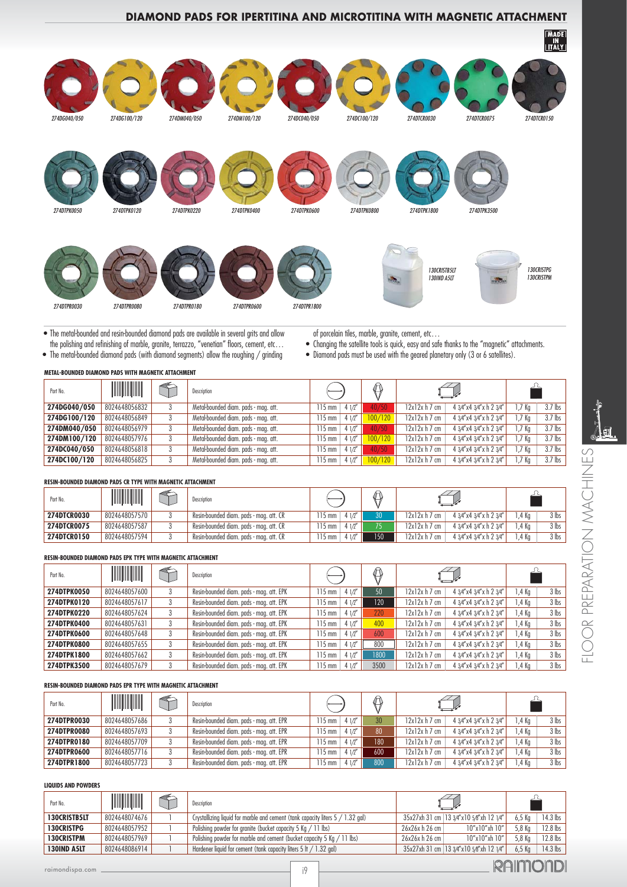# **DIAMOND PADS FOR IPERTITINA AND MICROTITINA WITH MAGNETIC ATTACHMENT**



• The metal-bounded and resin-bounded diamond pads are available in several grits and allow the polishing and refinishing of marble, granite, terrazzo, "venetian" floors, cement, etc… • The metal-bounded diamond pads (with diamond segments) allow the roughing / grinding

of porcelain tiles, marble, granite, cement, etc…

- Changing the satellite tools is quick, easy and safe thanks to the "magnetic" attachments.
- Diamond pads must be used with the geared planetary only (3 or 6 satellites).

| Part No.     |               | $\iff$ | Description                          |                          |         |                |                         |                   |           |
|--------------|---------------|--------|--------------------------------------|--------------------------|---------|----------------|-------------------------|-------------------|-----------|
| 274DG040/050 | 8024648056832 | 3      | Metal-bounded diam. pads - mag. att. | 412''<br>115 mm          | 40/50   | $12x12x h7$ cm | 4 3/4"x4 3/4"x h 2 3/4" | 1.7 Ka            | $3.7$ lbs |
| 274DG100/120 | 8024648056849 | 3      | Metal-bounded diam. pads - mag. att. | 412''<br>$15 \text{ mm}$ | 100/120 | $12x12x h7$ cm | 4 3/4"x4 3/4"x h 2 3/4" | 1.7 <sub>Ka</sub> | $3.7$ lbs |
| 274DM040/050 | 8024648056979 | 3      | Metal-bounded diam. pads - mag. att. | 412''<br>$15 \text{ mm}$ | 40/50   | $12x12x h7$ cm | 4 3/4"x4 3/4"x h 2 3/4" | 1.7 <sub>Kq</sub> | $3.7$ lbs |
| 274DM100/120 | 8024648057976 | 3      | Metal-bounded diam. pads - mag. att. | 41/2''<br>$115$ mm       | 100/120 | $12x12x h7$ cm | 4 3/4"x4 3/4"x h 2 3/4" | 1.7 <sub>Ka</sub> | $3.7$ lbs |
| 274DC040/050 | 8024648056818 | 3      | Metal-bounded diam. pads - mag. att. | 412''<br>$115$ mm        | 40/50   | $12x12x h7$ cm | 4 3/4"x4 3/4"x h 2 3/4" | 1,7 Kg            | $3.7$ lbs |
| 274DC100/120 | 8024648056825 | 3      | Metal-bounded diam. pads - mag. att. | 412''<br>115 mm          | 100/120 | $12x12x h7$ cm | 4 3/4"x4 3/4"x h 2 3/4" | 1,7 Kg            | $3.7$ lbs |

### **RESIN-BOUNDED DIAMOND PADS CR TYPE WITH MAGNETIC ATTACHMENT**

| Part No.           | <b>ANTIQUES</b> | Description                             |                        |                 |                |                         |       |         |
|--------------------|-----------------|-----------------------------------------|------------------------|-----------------|----------------|-------------------------|-------|---------|
| <b>274DTCR0030</b> | 8024648057570   | Resin-bounded diam. pads - mag. att. CR | 115 mm<br>412''        | 30 <sup>°</sup> | $12x12x h7$ cm | 4 3/4"x4 3/4"x h 2 3/4" | .4 Ka | $3$ lbs |
| <b>274DTCR0075</b> | 8024648057587   | Resin-bounded diam. pads - mag. att. CR | 412''<br>$\mathsf{mm}$ |                 | $12x12x h7$ cm | 4 3/4"x4 3/4"x h 2 3/4" | .4 Ka | $3$ lbs |
| 274DTCR0150        | 8024648057594   | Resin-bounded diam. pads - mag. att. CR | 412''<br>mm            | $150^{\circ}$   | $12x12x h7$ cm | 4 3/4"x4 3/4"x h 2 3/4" | .4 Ka | $3$ lbs |

#### **RESIN-BOUNDED DIAMOND PADS EPK TYPE WITH MAGNETIC ATTACHMENT**

| Part No.    | <b>All All All A</b> | E | ♦<br>Description                         |                    |                  |                |                         |         |                |
|-------------|----------------------|---|------------------------------------------|--------------------|------------------|----------------|-------------------------|---------|----------------|
| 274DTPK0050 | 8024648057600        |   | Resin-bounded diam. pads - mag. att. EPK | 41/2''<br>$115$ mm | 50               | $12x12x h7$ cm | 4 3/4"x4 3/4"x h 2 3/4" | l ,4 Kg | $3$ lbs        |
| 274DTPK0120 | 8024648057617        |   | Resin-bounded diam. pads - mag. att. EPK | $115$ mm<br>41/2   | 120 <sub>1</sub> | $12x12x h7$ cm | 4 3/4"x4 3/4"x h 2 3/4" | i ,4 Kg | $3$ lbs        |
| 274DTPK0220 | 8024648057624        |   | Resin-bounded diam. pads - mag. att. EPK | 412''<br>$115$ mm  | 220              | $12x12x h7$ cm | 4 3/4"x4 3/4"x h 2 3/4" | 1,4 Kg  | $3$ lbs        |
| 274DTPK0400 | 8024648057631        |   | Resin-bounded diam. pads - mag. att. EPK | 41/2''<br>$115$ mm | 400              | $12x12x h7$ cm | 4 3/4"x4 3/4"x h 2 3/4" | 1,4 Kg  | $3$ lbs        |
| 274DTPK0600 | 8024648057648        |   | Resin-bounded diam. pads - mag. att. EPK | 41/2<br>$115$ mm   | 600              | $12x12x h7$ cm | 4 3/4"x4 3/4"x h 2 3/4" | 1,4 Kg  | 3 <sub>l</sub> |
| 274DTPK0800 | 8024648057655        |   | Resin-bounded diam. pads - mag. att. EPK | 41/2''<br>$115$ mm | 800              | $12x12x h7$ cm | 4 3/4"x4 3/4"x h 2 3/4" | i ,4 Kg | $3$ lbs        |
| 274DTPK1800 | 8024648057662        |   | Resin-bounded diam. pads - mag. att. EPK | 41/2<br>$115$ mm   | 1800             | $12x12x h7$ cm | 4 3/4"x4 3/4"x h 2 3/4" | 1,4 Kg  | $3$ lbs        |
| 274DTPK3500 | 8024648057679        |   | Resin-bounded diam. pads - mag. att. EPK | 41/2<br>115 mm     | 3500             | 12x12x h7 cm   | 4 3/4"x4 3/4"x h 2 3/4" | l ,4 Kg | $3$ lbs        |

#### **RESIN-BOUNDED DIAMOND PADS EPR TYPE WITH MAGNETIC ATTACHMENT**

| Part No.    | <b>All All All All A</b> |   | Description                              |                           | ⋒               |                |                         |       |         |
|-------------|--------------------------|---|------------------------------------------|---------------------------|-----------------|----------------|-------------------------|-------|---------|
| 274DTPR0030 | 8024648057686            |   | Resin-bounded diam. pads - mag. att. EPR | 412''<br>$15 \text{ mm}$  | 30 <sup>°</sup> | $12x12x h7$ cm | 4 3/4"x4 3/4"x h 2 3/4" | .4 Ka | $3$ lbs |
| 274DTPR0080 | 8024648057693            | 3 | Resin-bounded diam. pads - mag. att. EPR | 41/2''<br>$15 \text{ mm}$ | 80              | $12x12x h7$ cm | 4 3/4"x4 3/4"x h 2 3/4" | .4 Ka | $3$ lbs |
| 274DTPR0180 | 8024648057709            |   | Resin-bounded diam. pads - mag. att. EPR | $15 \text{ mm}$<br>41/2'' | 180             | $12x12x h7$ cm | 4 3/4"x4 3/4"x h 2 3/4" | .4 Ka | $3$ lbs |
| 274DTPR0600 | 8024648057716            |   | Resin-bounded diam. pads - mag. att. EPR | 412''<br>$15 \text{ mm}$  | 600             | $12x12x h7$ cm | 4 3/4"x4 3/4"x h 2 3/4" | .4 Ka | $3$ lbs |
| 274DTPR1800 | 8024648057723            |   | Resin-bounded diam. pads - mag. att. EPR | $15 \text{ mm}$<br>41/2'' | 800             | $12x12x h7$ cm | 4 3/4"x4 3/4"x h 2 3/4" | .4 Ka | $3$ lbs |

#### **LIQUIDS AND POWDERS**

| Part No.            | <b>All All All A</b> | Description                                                                    |                 |                                           |          |            |
|---------------------|----------------------|--------------------------------------------------------------------------------|-----------------|-------------------------------------------|----------|------------|
| <b>130CRISTB5LT</b> | 8024648074676        | Crystallizing liquid for marble and cement (tank capacity liters 5 / 1.32 gal) |                 | 35x27xh 31 cm   13 3/4"x10 5/8"xh 12 1/4" | $6,5$ Kg | $14.3$ lbs |
| <b>130CRISTPG</b>   | 8024648057952        | Polishing powder for granite (bucket capacity 5 Kg / 11 lbs)                   | 26x26x h 26 cm  | 10"x10"xh 10"                             | 5,8 Kg   | $12.8$ lbs |
| <b>130CRISTPM</b>   | 8024648057969        | Polishing powder for marble and cement (bucket capacity 5 Kg / 11 lbs)         | $26x26x h26$ cm | $10''$ x $10''$ xh $10''$                 | 5,8 Kg   | 12.8 lbs   |
| <b>130IND A5LT</b>  | 8024648086914        | Hardener liquid for cement (tank capacity liters 5 lt / 1.32 gal)              |                 | 35x27xh 31 cm   13 3/4"x10 5/8"xh 12 1/4" | $6.5$ Kg | $14.3$ lbs |
| raimondispa.com     |                      | :0                                                                             |                 |                                           |          |            |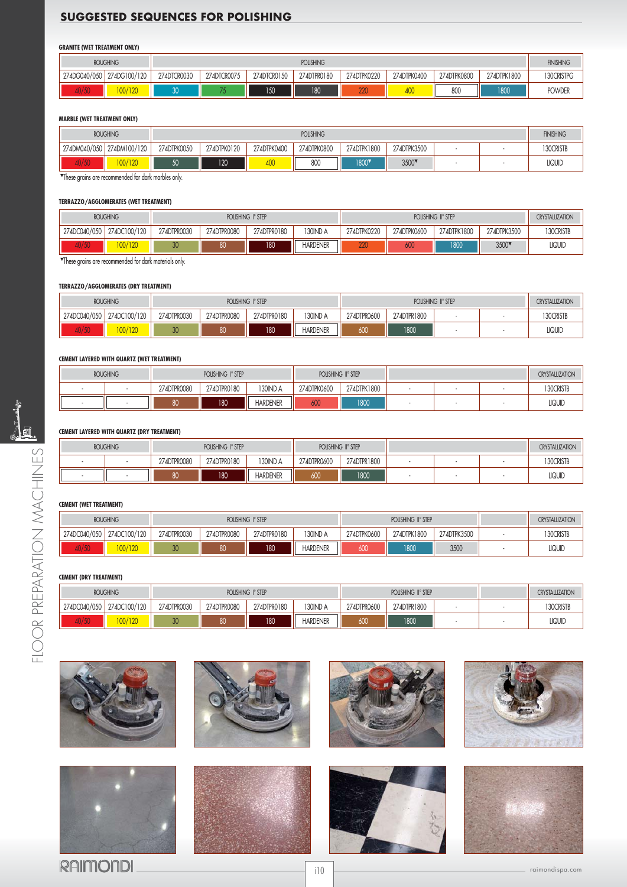# **SUGGESTED SEQUENCES FOR POLISHING**

#### **GRANITE (WET TREATMENT ONLY)**

|                 | <b>ROUGHING</b><br><b>POLISHING</b> |             |             |             |             |             |             |             | <b>FINISHING</b> |               |
|-----------------|-------------------------------------|-------------|-------------|-------------|-------------|-------------|-------------|-------------|------------------|---------------|
| 274DG040/050    | 274DG100/120                        | 274DTCR0030 | 274DTCR0075 | 274DTCR0150 | 274DTPR0180 | 274DTPK0220 | 274DTPK0400 | 274DTPK0800 | 274DTPK1800      | 130CRISTPG    |
| $\sim$<br>40/50 | 00/120                              |             |             | 150         | 180         | חחח<br>ZZU  | 400         | 800         | 1800             | <b>POWDER</b> |

#### **MARBLE (WET TREATMENT ONLY)**

|     | <b>ROUGHING</b><br><b>POLISHING</b> |             |             |             |             |             |             |      | <b>FINISHING</b> |               |  |  |
|-----|-------------------------------------|-------------|-------------|-------------|-------------|-------------|-------------|------|------------------|---------------|--|--|
|     | 274DM040/050 274DM100/120           | 274DTPK0050 | 274DTPK0120 | 274DTPK0400 | 274DTPK0800 | 274DTPK1800 | 274DTPK3500 | $\,$ |                  |               |  |  |
| /50 | 100/120                             | rΩ<br>JU    | 120         | 400         | 800         | 1800        | 3500        |      |                  | <b>LIQUID</b> |  |  |

These grains are recommended for dark marbles only.

#### **TERRAZZO/AGGLOMERATES (WET TREATMENT)**

|              | <b>ROUGHING</b> |             |             | POLISHING I° STEP |                 | POLISHING II° STEP                                       |     |      |      | <b>CRYSTALLIZATION</b> |
|--------------|-----------------|-------------|-------------|-------------------|-----------------|----------------------------------------------------------|-----|------|------|------------------------|
| 274DC040/050 | 274DC100/120    | 274DTPR0030 | 274DTPR0080 | 274DTPR0180       | 130 ND A        | 274DTPK0600<br>274DTPK0220<br>274DTPK1800<br>274DTPK3500 |     |      |      | 130 CRISTB             |
| $\sim$       | <b>UU/120</b>   | 30          | 80          | 180               | <b>HARDENER</b> | 000<br><b>ZZV</b>                                        | 600 | 1800 | 3500 | LIQUID                 |

These grains are recommended for dark materials only.

#### **TERRAZZO/AGGLOMERATES (DRY TREATMENT)**

|              | <b>ROUGHING</b><br>POLISHING I° STEP |                            |    |             |                 | <b>CRYSTALLIZATION</b>     |      |  |  |               |
|--------------|--------------------------------------|----------------------------|----|-------------|-----------------|----------------------------|------|--|--|---------------|
| 274DC040/050 | 274DC100/120                         | 274DTPR0030<br>274DTPR0080 |    | 274DTPR0180 | 130 IND A       | 274DTPR0600<br>274DTPR1800 |      |  |  | 130CRISTB     |
| 407 JU       | 100/120                              | 30                         | 80 | 180         | <b>HARDENER</b> | 600                        | 1800 |  |  | <b>LIQUID</b> |

#### **CEMENT LAYERED WITH QUARTZ (WET TREATMENT)**

| <b>ROUGHING</b> |             | POLISHING I° STEP |                 | POLISHING II° STEP |             |  |  | <b>CRYSTALUZATION</b> |               |
|-----------------|-------------|-------------------|-----------------|--------------------|-------------|--|--|-----------------------|---------------|
|                 | 274DTPR0080 | 274DTPR0180       | 130IND A        | 274DTPK0600        | 274DTPK1800 |  |  |                       | 130 CRISTB    |
|                 | 80          | 180               | <b>HARDENER</b> | 600                | 1800        |  |  |                       | <b>LIQUID</b> |

### **CEMENT LAYERED WITH QUARTZ (DRY TREATMENT)**

| <b>ROUGHING</b> |             | POLISHING I° STEP |                 | POLISHING II° STEP |             |  |  | <b>CRYSTALLIZATION</b> |                       |
|-----------------|-------------|-------------------|-----------------|--------------------|-------------|--|--|------------------------|-----------------------|
|                 | 274DTPR0080 | 274DTPR0180       | <b>30IND A</b>  | 274DTPR0600        | 274DTPR1800 |  |  |                        | <sup>1</sup> 30CRISTB |
|                 | 80          | 180               | <b>HARDENER</b> | 600                | 1800        |  |  |                        | <b>LIQUID</b>         |

### **CEMENT (WET TREATMENT)**

| <b>ROUGHING</b><br>POLISHING I° STEP |              |             |                            |     | POLISHING II° STEP | <b>CRYSTALLIZATION</b> |                            |      |               |
|--------------------------------------|--------------|-------------|----------------------------|-----|--------------------|------------------------|----------------------------|------|---------------|
| 274DC040/050                         | 274DC100/120 | 274DTPR0030 | 274DTPR0080<br>274DTPR0180 |     | 130IND A           | 274DTPK0600            | 274DTPK1800<br>274DTPK3500 |      | 30CRISTB      |
| 40/JV                                | 100/120      | 30          | 80                         | 180 | <b>HARDENER</b>    | 600                    | 1800                       | 3500 | <b>LIQUIL</b> |

#### **CEMENT (DRY TREATMENT)**

| <b>ROUGHING</b><br>POLISHING I° STEP |              |             |                                        |     |                 | POLISHING II° STEP | <b>CRYSTALLIZATION</b> |            |               |
|--------------------------------------|--------------|-------------|----------------------------------------|-----|-----------------|--------------------|------------------------|------------|---------------|
| 274DC040/050                         | 274DC100/120 | 274DTPR0030 | 274DTPR0180<br>130 ND A<br>274DTPR0080 |     | 274DTPR0600     | 274DTPR1800        |                        | 130 CRISTB |               |
| <b>40700</b>                         | 100/120      | 30          | 80                                     | 180 | <b>HARDENER</b> | 600                | 1800                   |            | <b>LIQUID</b> |



**RAIMONDI** 

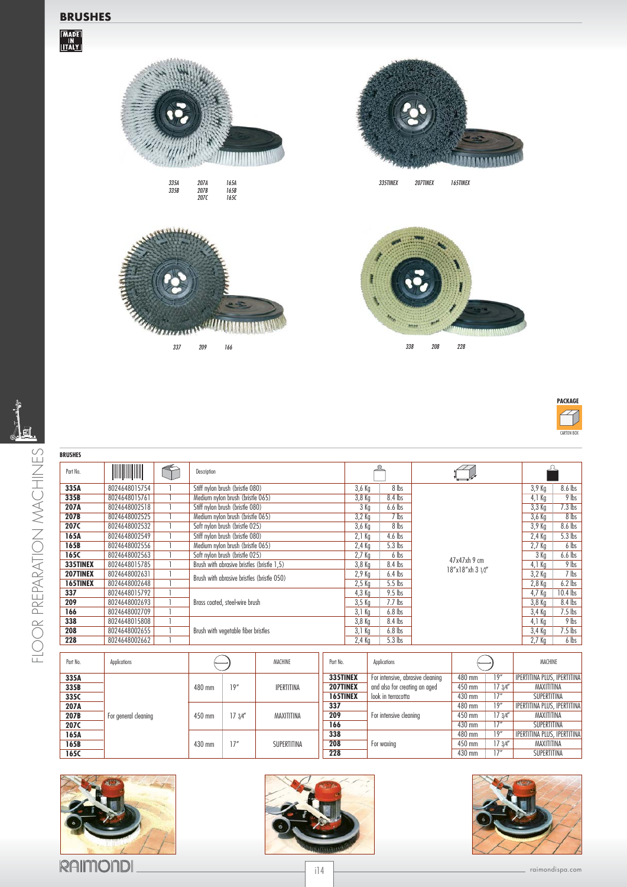

207A 207B 207C

165A 165B 165C

*<u>ITHERINI</u>* 

335A 335B

enna



335TINEX 207TINEX 165TINEX





| <b>WEIGHT</b><br>Part No.<br>8024648015754<br>335A<br>335B<br>8024648015761<br>207A<br>8024648002518<br>207B<br>8024648002525<br>207C<br>8024648002532<br>165A<br>8024648002549<br>165B<br>8024648002556<br>165C<br>8024648002563<br>335TINEX<br>8024648015785<br>207TINEX<br>8024648002631 | Description<br>Stiff nylon brush (bristle 080)<br>Medium nylon brush (bristle 065)<br>Stiff nylon brush (bristle 080)<br>Medium nylon brush (bristle 065) | 3,6 Kg<br>8 lbs<br>$8.4$ lbs<br>$3,8$ Kg<br>$6.6$ lbs<br>3 Kg<br>7 lbs<br>$3,2$ Kg |                  | 8.6 lbs<br>$3,9$ Kg<br>$9$ lbs<br>$4.1$ Kg |
|---------------------------------------------------------------------------------------------------------------------------------------------------------------------------------------------------------------------------------------------------------------------------------------------|-----------------------------------------------------------------------------------------------------------------------------------------------------------|------------------------------------------------------------------------------------|------------------|--------------------------------------------|
|                                                                                                                                                                                                                                                                                             |                                                                                                                                                           |                                                                                    |                  |                                            |
|                                                                                                                                                                                                                                                                                             |                                                                                                                                                           |                                                                                    |                  |                                            |
|                                                                                                                                                                                                                                                                                             |                                                                                                                                                           |                                                                                    |                  |                                            |
|                                                                                                                                                                                                                                                                                             |                                                                                                                                                           |                                                                                    |                  | $7.3$ lbs<br>$3,3$ Kg                      |
|                                                                                                                                                                                                                                                                                             |                                                                                                                                                           |                                                                                    |                  | $8$ lbs<br>3,6 Kg                          |
|                                                                                                                                                                                                                                                                                             | Soft nylon brush (bristle 025)                                                                                                                            | 8 lbs<br>$3,6$ Kg                                                                  |                  | 8.6 lbs<br>3,9 Kg                          |
|                                                                                                                                                                                                                                                                                             | Stiff nylon brush (bristle 080)                                                                                                                           | $2,1$ Kg<br>$4.6$ lbs                                                              |                  | $5.3$ lbs<br>$2,4$ Kg                      |
|                                                                                                                                                                                                                                                                                             | Medium nylon brush (bristle 065)                                                                                                                          | 5.3 lbs<br>$2,4$ Kg                                                                |                  | 6 lbs<br>2.7 <sub>Kq</sub>                 |
|                                                                                                                                                                                                                                                                                             | Soft nylon brush (bristle 025)                                                                                                                            | 6 lbs<br>$2,7$ Kg                                                                  | $47x47xh$ 9 cm   | $6.6$ lbs<br>3 Kg                          |
|                                                                                                                                                                                                                                                                                             | Brush with abrasive bristles (bristle 1,5)                                                                                                                | 3,8 Kg<br>8.4 lbs                                                                  |                  | $9$ lbs<br>$4,1$ Kg                        |
|                                                                                                                                                                                                                                                                                             | Brush with abrasive bristles (bristle 050)                                                                                                                | $2,9$ Kg<br>$6.4$ lbs                                                              | 18"x18"xh 3 1/2" | $7$ lbs<br>$3,2$ Kg                        |
| 165TINEX<br>8024648002648                                                                                                                                                                                                                                                                   |                                                                                                                                                           | 5.5 lbs<br>$2,5$ Kg                                                                |                  | $6.2$ lbs<br>$2,8$ Kg                      |
| 337<br>8024648015792                                                                                                                                                                                                                                                                        |                                                                                                                                                           | $9.5$ lbs<br>4,3 Kg                                                                |                  | $10.4$ lbs<br>4,7 Kg                       |
| 209<br>8024648002693                                                                                                                                                                                                                                                                        | Brass coated, steel-wire brush                                                                                                                            | 3,5 Kg<br>$7.7$ lbs                                                                |                  | 8.4 lbs<br>3,8 Kg                          |
| 166<br>8024648002709                                                                                                                                                                                                                                                                        |                                                                                                                                                           | $6.8$ lbs<br>3,1 Kg                                                                |                  | $7.5$ lbs<br>3,4 Kg                        |
| 338<br>8024648015808                                                                                                                                                                                                                                                                        |                                                                                                                                                           | 8.4 lbs<br>$3,8$ Kg                                                                |                  | $9$ lbs<br>4,1 Kg                          |
| 208<br>8024648002655                                                                                                                                                                                                                                                                        | Brush with vegetable fiber bristles                                                                                                                       | $3,1$ Kg<br>$6.8$ lbs                                                              |                  | $7.5$ lbs<br>3,4 Kg                        |
| 228<br>8024648002662                                                                                                                                                                                                                                                                        |                                                                                                                                                           | $5.3$ lbs<br>$2,4$ Kg                                                              |                  | 6 lbs<br>$2,7$ Kg                          |

| Part No. | Applications         |        |         | MACHINE<br><b>Applications</b><br>Part No. |                 |                                  |        |          | MACHINE                            |
|----------|----------------------|--------|---------|--------------------------------------------|-----------------|----------------------------------|--------|----------|------------------------------------|
| 335A     |                      |        |         |                                            | 335TINEX        | For intensive, abrasive cleaning | 480 mm | 19"      | <b>IPERTITINA PLUS, IPERTITINA</b> |
| 335B     |                      | 480 mm | 19"     | <b>IPERTITINA</b>                          | 207TINEX        | and also for creating an aged    | 450 mm | 17.34''  | MAXITITINA                         |
| 335C     |                      |        |         |                                            | <b>165TINEX</b> | look in terracotta               | 430 mm | 17"      | SUPERTITINA                        |
| 207A     |                      |        |         |                                            | 337             |                                  | 480 mm | 19"      | IPERTITINA PLUS, IPERTITINA        |
| 207B     | For general cleaning | 450 mm | 17 3/4" | MAXITITINA                                 | 209             | For intensive cleaning           | 450 mm | 17.3/4'' | MAXITITINA                         |
| 207C     |                      |        |         |                                            | 166             |                                  | 430 mm | 17''     | SUPERTITINA                        |
| 165A     |                      |        |         |                                            | 338             |                                  | 480 mm | 19"      | IPERTITINA PLUS, IPERTITINA        |
| 165B     |                      | 430 mm | 17''    | SUPERTITINA                                | 208             | For waxing                       | 450 mm | 17.3/4'' | MAXITITINA                         |
| 165C     |                      |        |         |                                            | 228             |                                  | 430 mm | 17"      | SUPERTITINA                        |







i14 and the community of the community of the community of the community of the community of the community of the community of the community of the community of the community of the community of the community of the commun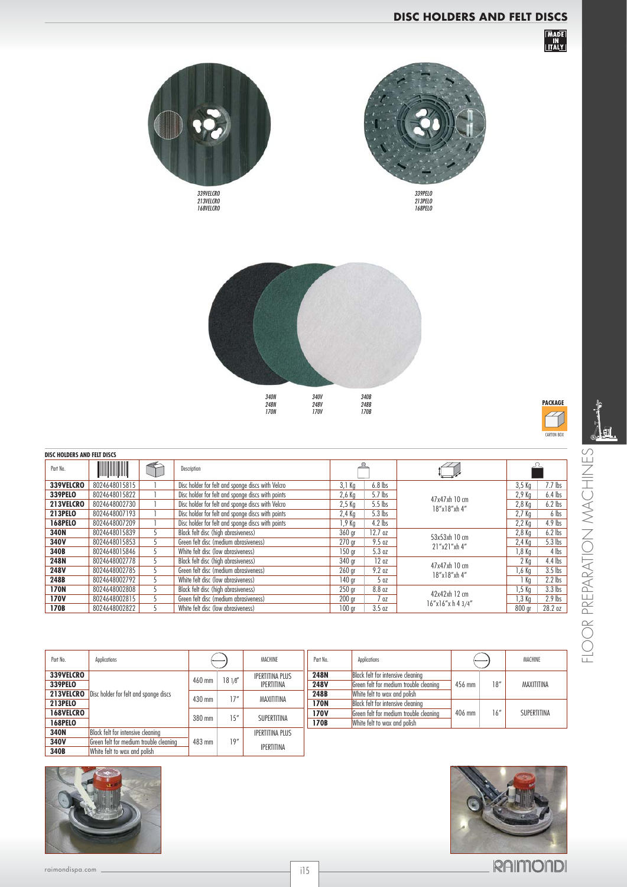# **DISC HOLDERS AND FELT DISCS**

|<br>| IN<br>| <u>IT</u>ALY |





213PELO 168PELO



| PACKAGE    |
|------------|
|            |
| CARTON BOX |



| ISC HOLDERS AND FELT DISCS |                          |   |                                                   |                   |              |                               |                              | $\circ$                    |
|----------------------------|--------------------------|---|---------------------------------------------------|-------------------|--------------|-------------------------------|------------------------------|----------------------------|
| Part No.                   | <b>All All All All A</b> |   | Description                                       |                   |              |                               |                              | 当                          |
| 339VELCRO                  | 8024648015815            |   | Disc holder for felt and sponge discs with Velcro | $3,1$ Kg          | $6.8$ lbs    |                               | $7.7$ lbs<br>$3,5$ Kg        | 工                          |
| <b>339PELO</b>             | 8024648015822            |   | Disc holder for felt and sponge discs with points | $2,6$ Kg          | 5.7 lbs      | 47x47xh 10 cm                 | $6.4$ lbs<br>2,9 Kg          | ( )                        |
| 213VELCRO                  | 8024648002730            |   | Disc holder for felt and sponge discs with Velcro | $2,5$ Kg          | $5.5$ lbs    | 18"x18"xh 4"                  | $6.2$ lbs<br>$2,8$ Kg        | $\overline{\mathcal{A}}$   |
| <b>213PELO</b>             | 8024648007193            |   | Disc holder for felt and sponge discs with points | $2,4$ Kg          | $5.3$ lbs    |                               | 2,7 Kg<br>6 lbs              | $\lesssim$                 |
| <b>168PELO</b>             | 8024648007209            |   | Disc holder for felt and sponge discs with points | 1,9 Kg            | $4.2$ lbs    |                               | $4.9$ lbs<br>$2,2$ Kg        |                            |
| 340N                       | 8024648015839            | 5 | Black felt disc (high abrasiveness)               | 360 gr            | $12.7$ oz    | 53x53xh 10 cm                 | $6.2$ lbs<br>$2,8$ Kg        |                            |
| 340V                       | 8024648015853            | 5 | Green felt disc (medium abrasiveness)             | 270 <sub>gr</sub> | 9.5 oz       | 21"x21"xh 4"                  | $5.3$ lbs<br>$2,4$ Kg        |                            |
| 340B                       | 8024648015846            | 5 | White felt disc (low abrasiveness)                | 150 <sub>qr</sub> | 5.3 oz       |                               | $4$ lbs<br>1,8 Kg            |                            |
| 248N                       | 8024648002778            | 5 | Black felt disc (high abrasiveness)               | 340 gr            | 12oz         | 47x47xh 10 cm                 | $4.4$ lbs<br>$2$ Kg          | $\overline{\triangleleft}$ |
| <b>248V</b>                | 8024648002785            | 5 | Green felt disc (medium abrasiveness)             | 260 <sub>gr</sub> | 9.2 oz       | 18"x18"xh 4"                  | $3.5$ lbs<br>1,6 Kg          | $\sim$                     |
| 248B                       | 8024648002792            |   | White felt disc (low abrasiveness)                | 140 <sub>qr</sub> | 50Z          |                               | $2.2$ lbs<br>1 Kg            |                            |
| <b>170N</b>                | 8024648002808            | 5 | Black felt disc (high abrasiveness)               | 250 <sub>gr</sub> | 8.8 oz       | 42x42xh 12 cm                 | $3.3$ lbs<br>1,5 Kg          | K                          |
| <b>170V</b>                | 8024648002815            |   | Green felt disc (medium abrasiveness)             | 200 <sub>gr</sub> | 7 oz         |                               | $2.9$ lbs<br>1,3 Kg          |                            |
| 170B                       | 8024648002822            | 5 | White felt disc (low abrasiveness)                | 100 <sub>qr</sub> | 3.5 oz       | $16''$ x $16''$ x h 4 $3/4''$ | 800 gr<br>28.2 <sub>oz</sub> | PREI                       |
|                            |                          |   |                                                   |                   |              |                               |                              | $\simeq$                   |
| Part No.                   | Applications             |   | MACHINE                                           | Part No.          | Applications |                               | MACHINE                      | 긑                          |

| Part No.         | Applications                           |        |        | MACHINE                | Part No.    | Applications                           |        |      | MACHINE     |
|------------------|----------------------------------------|--------|--------|------------------------|-------------|----------------------------------------|--------|------|-------------|
| 339VELCRO        |                                        |        | 1810'' | <b>IPERTITINA PLUS</b> | <b>248N</b> | Black felt for intensive cleaning      |        |      |             |
| 339PELO          |                                        | 460 mm |        | <b>IPERTITINA</b>      | 248V        | Green felt for medium trouble cleaning | 456 mm | 18'' | MAXITITINA  |
| 213VELCRO        | Disc holder for felt and sponge discs  |        |        | 248B                   |             | White felt to wax and polish           |        |      |             |
| <b>213PELO</b>   |                                        | 430 mm | 17''   | MAXITITINA             | <b>170N</b> | Black felt for intensive cleaning      |        |      |             |
| <b>168VELCRO</b> |                                        |        | 15''   |                        | <b>170V</b> | Green felt for medium trouble cleaning | 406 mm | 16'' | SUPERTITINA |
| <b>168PELO</b>   |                                        | 380 mm |        | SUPERTITINA            | 170B        | White felt to wax and polish           |        |      |             |
| 340N             | Black felt for intensive cleaning      |        |        | <b>IPERTITINA PLUS</b> |             |                                        |        |      |             |
| 340V             | Green felt for medium trouble cleaning | 483 mm | 19''   |                        |             |                                        |        |      |             |
| 340B             | White felt to wax and polish           |        |        | <b>IPERTITINA</b>      |             |                                        |        |      |             |





**DISC HOLDERS AND FELT DISCS**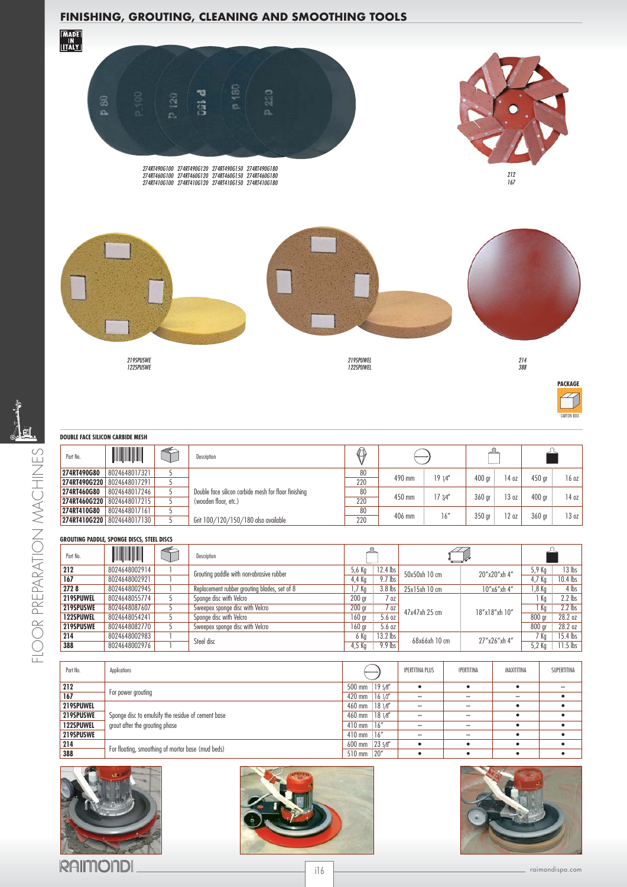# **FINISHING, GROUTING, CLEANING AND SMOOTHING TOOLS**



| Part No.         | <b>NUMBER OF STATE</b> | Description                                  |                   |                |               |               |               |            |
|------------------|------------------------|----------------------------------------------|-------------------|----------------|---------------|---------------|---------------|------------|
| 212              | 8024648002914          | Grouting paddle with non-abrasive rubber     | 5,6 Kg            | $12.4$ lbs     | 50x50xh 10 cm | 20"x20"xh 4"  | 5,9 Kg        | $13$ lbs   |
| 167              | 8024648002921          |                                              | 4.4 Ka            | 9.7 lbs        |               |               | 4,7 Kg        | $10.4$ lbs |
| 2728             | 8024648002945          | Replacement rubber grouting blades, set of 8 | .7 Ka             | $3.8$ lbs      | 25x15xh 10 cm | 10"x6"xh 4"   | 1,8 Kg        | 4 lbs      |
| 219SPUWEL        | 8024648055774          | Sponge disc with Velcro                      | 200 <sub>qr</sub> | OZ             |               |               | Ka            | $2.2$ lbs  |
| 219SPUSWE        | 8024648087607          | Sweepex sponge disc with Velcro              | 200 <sub>gr</sub> | $^{\prime}$ 07 | 47x47xh 25 cm | 18"x18"xh 10" | $\frac{1}{5}$ | $2.2$ lbs  |
| <b>122SPUWEL</b> | 8024648054241          | Sponge disc with Velcro                      | 160 ar            | 5.6 oz         |               |               | 800 gr        | 28.2 oz    |
| 219SPUSWE        | 8024648082770          | Sweepex sponge disc with Velcro              | 160 <sub>qr</sub> | 5.6 oz         |               |               | 800 gr        | 28.2 oz    |
| 214              | 8024648002983          | Steel disc                                   | 6 Ka              | $13.2$ lbs     | 68x66xh 10 cm | 27"x26"xh 4"  | 7 Ka          | 15.4 lbs   |
| 388              | 8024648002976          |                                              | 4.5 Ka            | $9.9$ lbs      |               |               | 5,2 Kg        | 11.5 lbs   |

| Part No.         | Applications                                       |                  | <b>IPERTITINA PLUS</b> | <b>IPERTITINA</b> | MAXITITINA | SUPERTITINA |
|------------------|----------------------------------------------------|------------------|------------------------|-------------------|------------|-------------|
| 212              |                                                    | 19.5%<br>500 mm  | ٠                      |                   |            |             |
| 167              | For power grouting                                 | 161Z'<br>420 mm  | $\equiv$               |                   | $\equiv$   |             |
| 219SPUWEL        |                                                    | 460 mm<br>181/8' |                        |                   |            |             |
| 219SPUSWE        | Sponge disc to emulsify the residue of cement base | 181/8<br>460 mm  | -                      |                   |            |             |
| <b>122SPUWEL</b> | grout after the grouting phase                     | 16"<br>$410$ mm  | -                      | -                 |            |             |
| 219SPUSWE        |                                                    | 16"<br>$410$ mm  |                        |                   |            |             |
| 214              |                                                    | 23.5%<br>600 mm  |                        |                   |            |             |
| 388              | For floating, smoothing of mortar base (mud beds)  | 20"<br>510 mm    |                        |                   |            |             |







**RAIMONDI**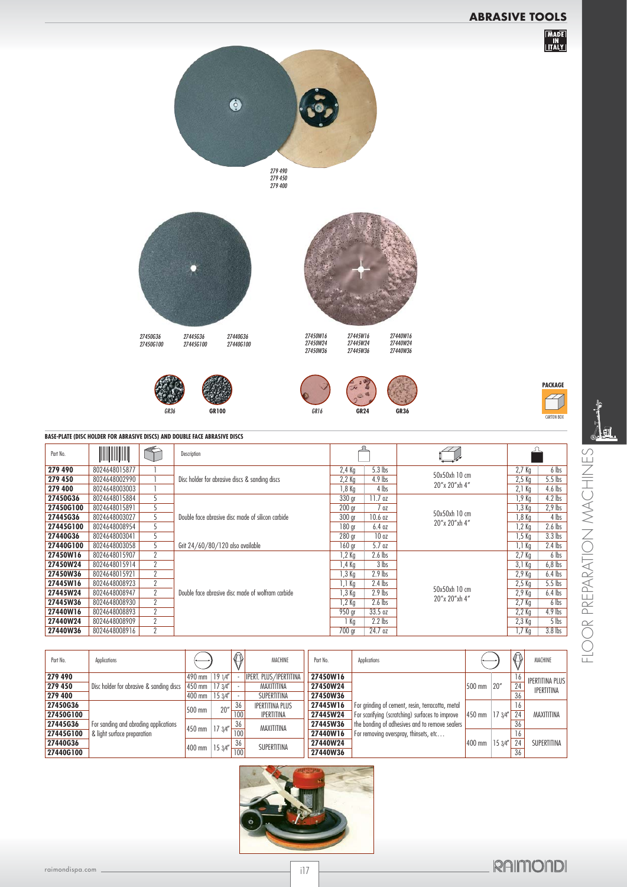# **ABRASIVE TOOLS**







27450W16 27450W24 27450W36

27440G36 27440G100

27445W16 27445W24 27445W36 27440W16 27440W24 27440W36





 $\frac{1}{2}$ 

| BASE-PLATE (DISC HOLDER FOR ABRASIVE DISCS) AND DOUBLE FACE ABRASIVE DISCS |  |  |
|----------------------------------------------------------------------------|--|--|
|                                                                            |  |  |

27450G36 27450G100

27445G36 27445G100

| Part No.  | <b>ANTIFACTURER</b> |                | Description                                       |                                       |               |                   |           |
|-----------|---------------------|----------------|---------------------------------------------------|---------------------------------------|---------------|-------------------|-----------|
| 279 490   | 8024648015877       |                |                                                   | $5.3$ lbs<br>2,4 Kg                   |               | $2,7$ Kg          | 6 lbs     |
| 279 450   | 8024648002990       |                | Disc holder for abrasive discs & sanding discs    | $2,2$ Kg<br>$4.9$ lbs                 | 50x50xh 10 cm | $2,5$ Kg          | $5.5$ lbs |
| 279 400   | 8024648003003       |                |                                                   | 1,8 Kg<br>4 lbs                       | 20"x 20"xh 4" | $2.1$ Kg          | 4.6 lbs   |
| 27450G36  | 8024648015884       |                |                                                   | 330 gr<br>$11.7$ oz                   |               | 1,9 Kg            | $4.2$ lbs |
| 27450G100 | 8024648015891       |                |                                                   | 200 <sub>qr</sub><br>7 oz             | 50x50xh 10 cm | 1,3 Kg            | $2,9$ lbs |
| 27445G36  | 8024648003027       | 5              | Double face abrasive disc made of silicon carbide | 300 <sub>ar</sub><br>10.6 oz          |               | 1,8 Kg            | 4 lbs     |
| 27445G100 | 8024648008954       | 5              |                                                   | 180 gr<br>6.4 oz                      | 20"x 20"xh 4" | 1,2 Kg            | $2.6$ lbs |
| 27440G36  | 8024648003041       | 5              |                                                   | 10 <sub>oz</sub><br>280 <sub>qr</sub> |               | 1,5 Kg            | $3.3$ lbs |
| 27440G100 | 8024648003058       | 5              | Grit 24/60/80/120 also available                  | 5.7 oz<br>160 gr                      |               | 1,1 Kg            | $2.4$ lbs |
| 27450W16  | 8024648015907       | $\overline{2}$ |                                                   | $2.6$ lbs<br>1,2 Kg                   |               | 2.7 <sub>Kg</sub> | 6 lbs     |
| 27450W24  | 8024648015914       | 2              |                                                   | 3 lbs<br>$1.4$ Kg                     |               | $3,1$ Kg          | $6,8$ lbs |
| 27450W36  | 8024648015921       | $\overline{2}$ |                                                   | $2.9$ lbs<br>1,3 Kg                   |               | 2,9 Kg            | $6.4$ lbs |
| 27445W16  | 8024648008923       | 2              |                                                   | $2.4$ lbs<br>1,1 Kg                   |               | $2,5$ Kg          | $5.5$ lbs |
| 27445W24  | 8024648008947       | $\overline{2}$ | Double face abrasive disc made of wolfram carbide | $2.9$ lbs<br>1,3 Kg                   | 50x50xh 10 cm | 2.9 <sub>Kq</sub> | $6.4$ lbs |
| 27445W36  | 8024648008930       | $\overline{2}$ |                                                   | $2.6$ lbs<br>1,2 Kg                   | 20"x 20"xh 4" | 2,7 Kg            | 6 lbs     |
| 27440W16  | 8024648008893       | 2              |                                                   | 33.5 oz<br>950 gr                     |               | $2.2$ Kg          | $4.9$ lbs |
| 27440W24  | 8024648008909       | 2              |                                                   | $2.2$ lbs<br>i Kg                     |               | $2,3$ Kg          | $5$ lbs   |
| 27440W36  | 8024648008916       | 2              |                                                   | 700 gr<br>24.7 oz                     |               | 1,7 Kg            | $3.8$ lbs |

| Part No.  | Applications                             |          |        |     |                               | MACHINE         | Applications<br>Part No.                         |                                    |        |    | $\langle 1 \rangle$    | MACHINE |
|-----------|------------------------------------------|----------|--------|-----|-------------------------------|-----------------|--------------------------------------------------|------------------------------------|--------|----|------------------------|---------|
| 279 490   |                                          | $490$ mm | 1914'' |     | <b>IPERT. PLUS/IPERTITINA</b> | 27450W16        |                                                  |                                    |        | 16 | <b>IPERTITINA PLUS</b> |         |
| 279 450   | Disc holder for abrasive & sanding discs | 450 mm   | 173/4" |     | MAXITITINA                    | 27450W24        |                                                  | 500 mm                             | 20"    | 24 | <b>IPERTITINA</b>      |         |
| 279 400   |                                          | 400 mm   | 153/4" |     | SUPERTITINA                   | <b>27450W36</b> |                                                  |                                    |        | 36 |                        |         |
| 27450G36  |                                          | 500 mm   | 20''   | 36  | <b>IPERTITINA PLUS</b>        | 27445W16        | For grinding of cement, resin, terracotta, metal |                                    |        | 16 |                        |         |
| 27450G100 |                                          |          |        | 100 | <b>IPERTITINA</b>             | 27445W24        | For scarifying (scratching) surfaces to improve  | $ 450 \text{ mm}   17 \frac{3}{4}$ |        | 24 | MAXITITINA             |         |
| 27445G36  | For sanding and abrading applications    | 450 mm   | 173/4" | 36  | MAXITITINA                    | 27445W36        | the bonding of adhesives and to remove sealers   |                                    |        | 36 |                        |         |
| 27445G100 | & light surface preparation              |          |        | 100 |                               | 27440W16        | For removing overspray, thinsets, etc            |                                    |        | 16 |                        |         |
| 27440G36  |                                          |          | 153/4" | 36  | SUPERTITINA                   | 27440W24        |                                                  | 400 mm                             | 153/4" | 24 | SUPERTITINA            |         |
| 27440G100 |                                          | 400 mm   |        | 100 |                               | 27440W36        |                                                  |                                    |        | 36 |                        |         |